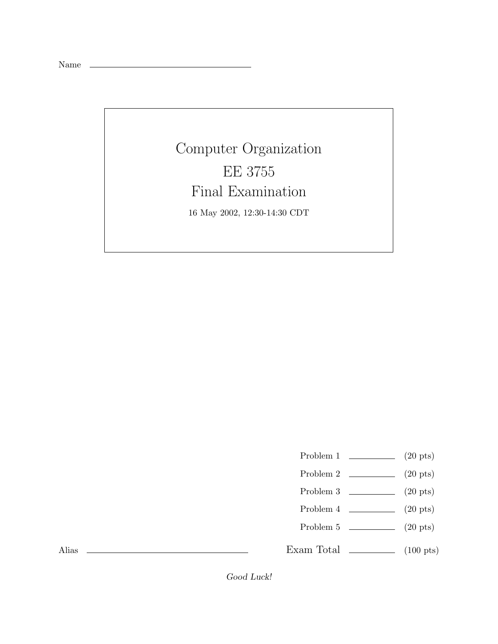Name

# Computer Organization EE 3755 Final Examination 16 May 2002, 12:30-14:30 CDT

- Problem 1  $\qquad \qquad (20 \text{ pts})$
- Problem 2  $\qquad \qquad$  (20 pts)
- Problem 3 (20 pts)
- Problem  $4 \t\t(20 \text{ pts})$
- Problem 5 (20 pts)

Exam Total  $\qquad \qquad$  (100 pts)

Alias

Good Luck!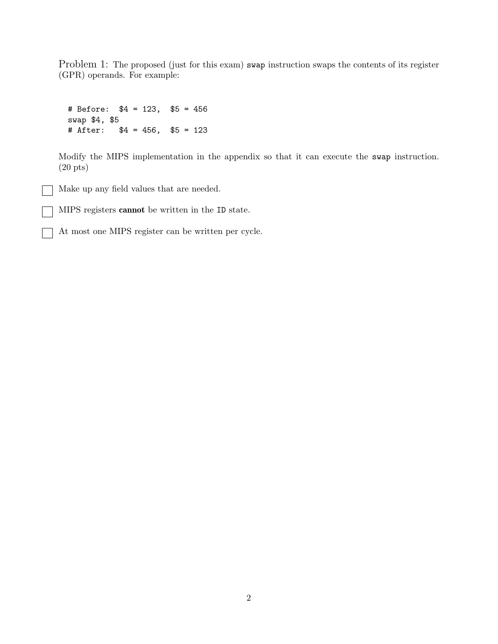Problem 1: The proposed (just for this exam) swap instruction swaps the contents of its register (GPR) operands. For example:

# Before: \$4 = 123, \$5 = 456 swap \$4, \$5 # After: \$4 = 456, \$5 = 123

Modify the MIPS implementation in the appendix so that it can execute the swap instruction. (20 pts)

Make up any field values that are needed.

MIPS registers cannot be written in the ID state.

At most one MIPS register can be written per cycle.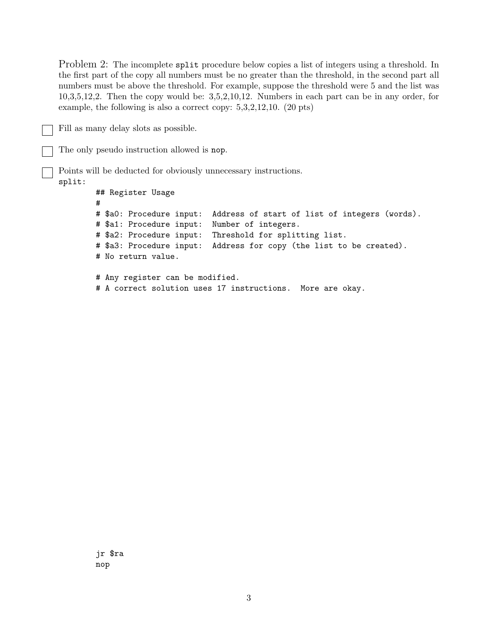Problem 2: The incomplete split procedure below copies a list of integers using a threshold. In the first part of the copy all numbers must be no greater than the threshold, in the second part all numbers must be above the threshold. For example, suppose the threshold were 5 and the list was 10,3,5,12,2. Then the copy would be: 3,5,2,10,12. Numbers in each part can be in any order, for example, the following is also a correct copy: 5,3,2,12,10. (20 pts)

Fill as many delay slots as possible.

The only pseudo instruction allowed is nop.

Points will be deducted for obviously unnecessary instructions.

### split:

## Register Usage # # \$a0: Procedure input: Address of start of list of integers (words). # \$a1: Procedure input: Number of integers. # \$a2: Procedure input: Threshold for splitting list. # \$a3: Procedure input: Address for copy (the list to be created). # No return value. # Any register can be modified.

# A correct solution uses 17 instructions. More are okay.

jr \$ra nop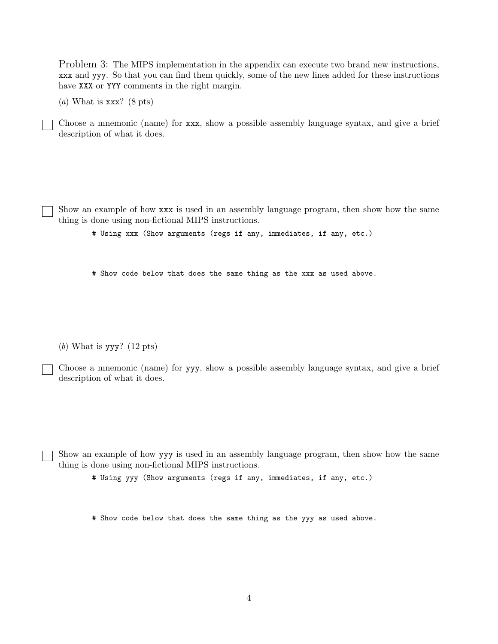Problem 3: The MIPS implementation in the appendix can execute two brand new instructions, xxx and yyy. So that you can find them quickly, some of the new lines added for these instructions have XXX or YYY comments in the right margin.

(*a*) What is xxx? (8 pts)

Choose a mnemonic (name) for xxx, show a possible assembly language syntax, and give a brief description of what it does.

Show an example of how xxx is used in an assembly language program, then show how the same thing is done using non-fictional MIPS instructions.

# Using xxx (Show arguments (regs if any, immediates, if any, etc.)

# Show code below that does the same thing as the xxx as used above.

(*b*) What is yyy? (12 pts)

Choose a mnemonic (name) for yyy, show a possible assembly language syntax, and give a brief description of what it does.

Show an example of how yyy is used in an assembly language program, then show how the same thing is done using non-fictional MIPS instructions.

# Using yyy (Show arguments (regs if any, immediates, if any, etc.)

# Show code below that does the same thing as the yyy as used above.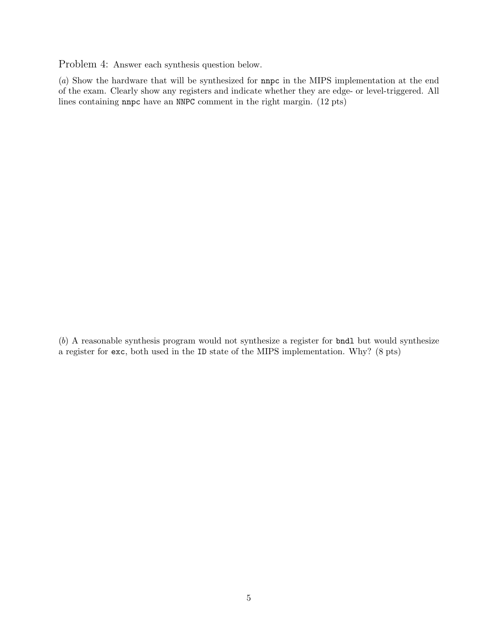Problem 4: Answer each synthesis question below.

(*a*) Show the hardware that will be synthesized for nnpc in the MIPS implementation at the end of the exam. Clearly show any registers and indicate whether they are edge- or level-triggered. All lines containing nnpc have an NNPC comment in the right margin. (12 pts)

(*b*) A reasonable synthesis program would not synthesize a register for bndl but would synthesize a register for exc, both used in the ID state of the MIPS implementation. Why? (8 pts)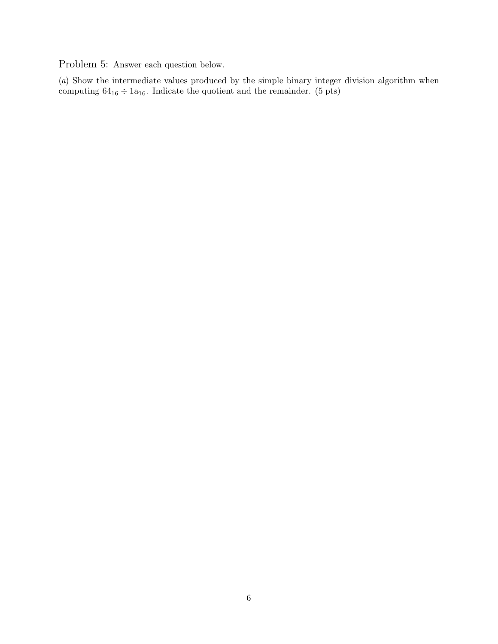Problem 5: Answer each question below.

(*a*) Show the intermediate values produced by the simple binary integer division algorithm when computing  $64_{16} \div 1a_{16}$ . Indicate the quotient and the remainder. (5 pts)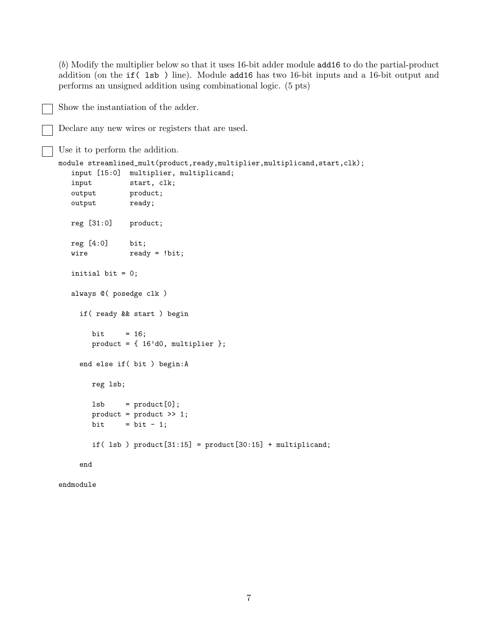(*b*) Modify the multiplier below so that it uses 16-bit adder module add16 to do the partial-product addition (on the if( lsb ) line). Module add16 has two 16-bit inputs and a 16-bit output and performs an unsigned addition using combinational logic. (5 pts)

```
Declare any new wires or registers that are used.
Use it to perform the addition.
module streamlined_mult(product,ready,multiplier,multiplicand,start,clk);
   input [15:0] multiplier, multiplicand;
   input start, clk;
   output product;
   output ready;
   reg [31:0] product;
   reg [4:0] bit;
   wire ready = !bit;
   initial bit = 0;
   always @( posedge clk )
     if( ready && start ) begin
       bit = 16;
       product = { 16'd0, multiplier };
     end else if( bit ) begin:A
       reg lsb;
       lsb = product[0];product = product >> 1;
       bit = bit - 1;
       if( lsb ) product[31:15] = product[30:15] + multiplicand;
     end
```
Show the instantiation of the adder.

```
endmodule
```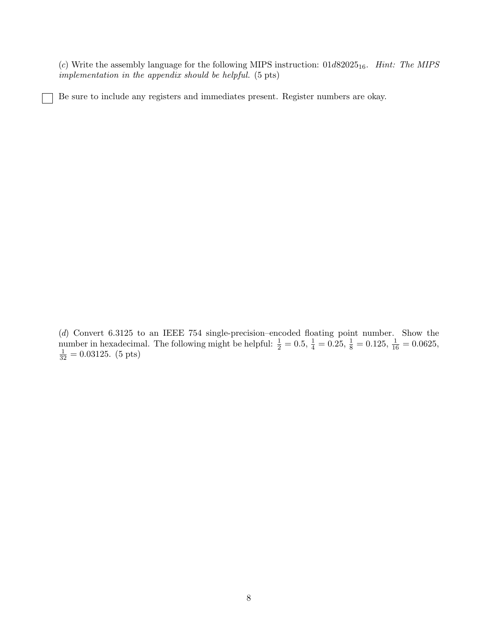(*c*) Write the assembly language for the following MIPS instruction:  $01d82025_{16}$ . *Hint: The MIPS implementation in the appendix should be helpful.* (5 pts)

Be sure to include any registers and immediates present. Register numbers are okay.

(*d*) Convert 6.3125 to an IEEE 754 single-precision–encoded floating point number. Show the number in hexadecimal. The following might be helpful:  $\frac{1}{2} = 0.5$ ,  $\frac{1}{4} = 0.25$ ,  $\frac{1}{8} = 0.125$ ,  $\frac{1}{16} = 0.0625$ ,  $\frac{1}{32} = 0.03125$ . (5 pts)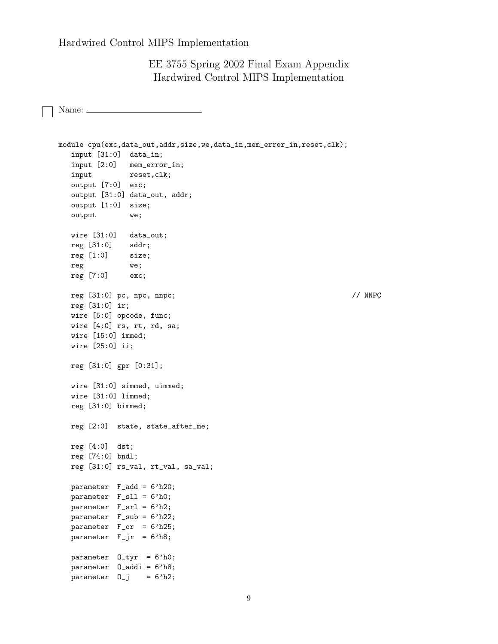EE 3755 Spring 2002 Final Exam Appendix Hardwired Control MIPS Implementation

Name:

```
module cpu(exc,data_out,addr,size,we,data_in,mem_error_in,reset,clk);
  input [31:0] data_in;
  input [2:0] mem_error_in;
  input reset, clk;
  output [7:0] exc;
  output [31:0] data_out, addr;
  output [1:0] size;
  output we;
  wire [31:0] data_out;
  reg [31:0] addr;
  reg [1:0] size;
  reg we;
  reg [7:0] exc;
  reg [31:0] pc, npc, nnpc; // NNPC
  reg [31:0] ir;
  wire [5:0] opcode, func;
  wire [4:0] rs, rt, rd, sa;
  wire [15:0] immed;
  wire [25:0] ii;
  reg [31:0] gpr [0:31];
  wire [31:0] simmed, uimmed;
  wire [31:0] limmed;
  reg [31:0] bimmed;
  reg [2:0] state, state_after_me;
  reg [4:0] dst;
  reg [74:0] bndl;
  reg [31:0] rs_val, rt_val, sa_val;
  parameter F_add = 6'h20;
  parameter F_sll = 6'h0;
  parameter F_srl = 6'h2;
  parameter F_sub = 6'h22;
  parameter F_or = 6'h25;
  parameter F_jr = 6'h8;parameter O_tyr = 6'h0;
  parameter O_addi = 6'h8;
  parameter 0_j = 6'h2;
```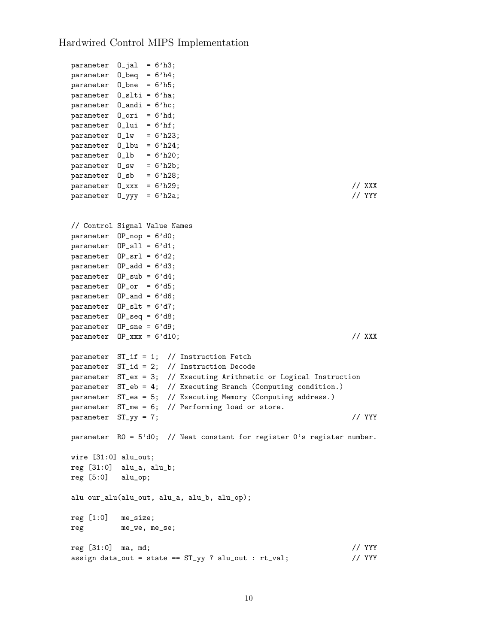```
parameter 0_jal = 6'h3;
parameter O_beq = 6'h4;
parameter O_bne = 6'h5;
parameter O_slti = 6'ha;
parameter O_andi = 6'hc;
parameter O_ori = 6'hd;
parameter O_lui = 6'hf;
parameter 0_l w = 6'h23;parameter 0_llbu = 6'h24;
parameter 0_1b = 6'h20;
parameter 0<sub>sw</sub> = 6'h2b;
parameter 0<sub>sb</sub> = 6'h28;parameter 0_1xxx = 6'h29; // XXX
parameter 0_yyy = 6'h2a; // YYY
// Control Signal Value Names
parameter OP_nop = 6'd0;
parameter OP_sll = 6'd1;
parameter OP\_sr1 = 6'd2;
parameter OP_add = 6'd3;
parameter OP_sub = 6'd4;
parameter 0P_or = 6'd5;parameter OP_and = 6'd6;
parameter OP_slt = 6'd7;
parameter OP_seq = 6'd8;
parameter OP_sne = 6'd9;
parameter \t0P_{xxxx} = 6' d10; // XXX
parameter ST_if = 1; // Instruction Fetch
parameter ST_id = 2; // Instruction Decode
parameter ST_ex = 3; // Executing Arithmetic or Logical Instruction
parameter ST_eb = 4; // Executing Branch (Computing condition.)
parameter ST_ea = 5; // Executing Memory (Computing address.)
parameter ST_m = 6; // Performing load or store.
parameter ST_yy = 7; // YYYparameter R0 = 5'd0; // Neat constant for register 0's register number.
wire [31:0] alu_out;
reg [31:0] alu_a, alu_b;
reg [5:0] alu_op;
alu our_alu(alu_out, alu_a, alu_b, alu_op);
reg [1:0] me_size;
reg me_we, me_se;
reg [31:0] ma, md; // YYY
assign data_out = state == ST_{yy} ? alu_out : rt_val; // YYY
```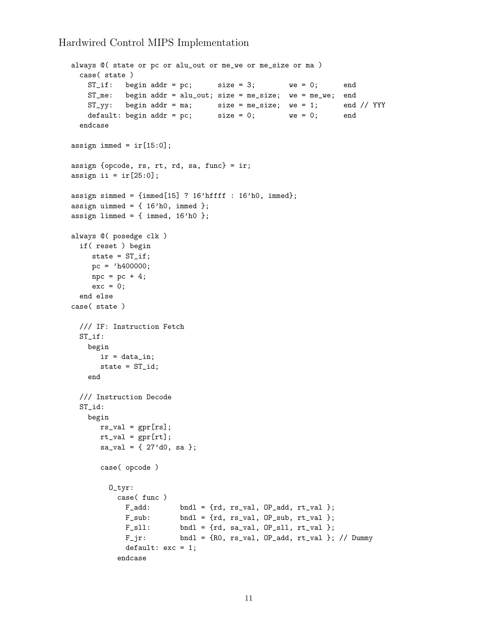```
always @( state or pc or alu_out or me_we or me_size or ma )
 case( state )
   ST\_if: begin addr = pc; size = 3; we = 0; end
   ST_me: begin addr = alu_out; size = me_size; we = me_we; end
   ST_yy: begin addr = ma; size = me_size; we = 1; end // YYY
   default: begin addr = pc; size = 0; we = 0; end
  endcase
assign immed = ir[15:0];
assign {opcode, rs, rt, rd, sa, func} = ir;
assign ii = ir[25:0];
assign simmed = {immed[15] ? 16' hffff : 16' h0, immed};assign uimmed = \{ 16'h0, \text{immed } \};assign limmed = {immed, 16'h0 };
always @( posedge clk )
 if( reset ) begin
    state = ST_if;pc = 'h400000;\text{npc} = \text{pc} + 4;exc = 0;end else
case( state )
  /// IF: Instruction Fetch
 ST_if:
   begin
      ir = data_in;
      state = ST_id;end
 /// Instruction Decode
 ST_id:
   begin
      rs\_val = gpr[rs];rt_val = gpr[rt];sa\_val = { 27'd0, sa };case( opcode )
        O_tyr:
          case( func )
            F_{add}: bndl = {rd, rs_val, OP_add, rt_val };
            F\_sub: bndl = {rd, rs_val, OP_sub, rt_val };
            F_s11: bndl = {rd, sa_val, OP_sll, rt_val };
            F_jr: bndl = {R0, rs_val, OP_add, rt_val }; // Dummy
            default: exc = 1;
          endcase
```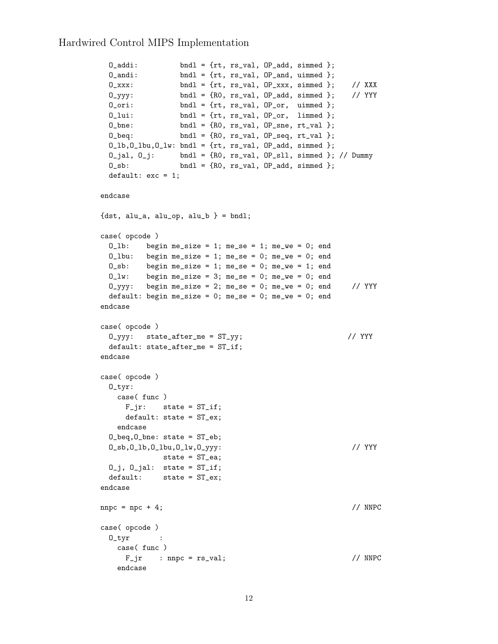```
0_addi: bndl = {rt, rs_val, 0P_add, simmed };
 0_andi: bndl = {rt, rs_val, 0P_and, uimmed };
 0_1xxx: bndl = {rt, rs_val, OP_xxx, simmed }; // XXX
 0_yyy: bndl = {R0, rs_val, OP_add, simmed }; // YYY
 0_ori: bndl = {rt, rs_val, 0P_or, uimmed };
 0_lui: bndl = {rt, rs_val, OP_or, limmed };
 0_\text{.} bndl = {R0, rs_\text{.}val, 0P_\text{.}sne, rt_\text{.}val };
 0_{\text{1}} bndl = {R0, rs_val, 0_{\text{2}} or \text{1} };
 0_l,0_l,0_l,0_l,0_l and 1 = \{rt, rs_lval, 0P<sub>r</sub>add, simmed };0_jal, 0_j: bndl = {R0, rs_val, OP_sll, simmed }; // Dummy
 0_sb: bndl = {R0, rs_val, OP_add, simmed };
 default: exc = 1;
endcase
{dst, alu_a, alu_op, alu_b } = bndl;
case( opcode )
 0_1b: begin me_size = 1; me_se = 1; me_we = 0; end
 0_lbu: begin me_size = 1; me_se = 0; me_we = 0; end
 0<sub>sb</sub>: begin me_size = 1; me_se = 0; me_we = 1; end
 0_l w: begin me_size = 3; me_se = 0; me_we = 0; end
 0_yyy: begin me_size = 2; me_se = 0; me_we = 0; end // YYY
 default: begin me_size = 0; me_se = 0; me_we = 0; end
endcase
case( opcode )
 O_{\text{V}}yy: state_after_me = ST_{\text{V}}y; // YYY
 default: state_after_me = ST_if;
endcase
case( opcode )
 O_tyr:
   case( func )
    F_i \gamma: state = ST_i f;
     default: state = ST_ex;
   endcase
 O_beq,O_bne: state = ST_eb;
 O_sb,O_lb,O_lbu,O_lw,O_yyy: // YYY
            state = ST_ea;
 0_i, 0_i al: state = ST_idefault: state = ST_ex;
endcase
\text{nnpc} = \text{npc} + 4; // NNPC
case( opcode )
 O_tyr :
   case( func )
     F_jr : nnpc = rs_val; // NNPC
   endcase
```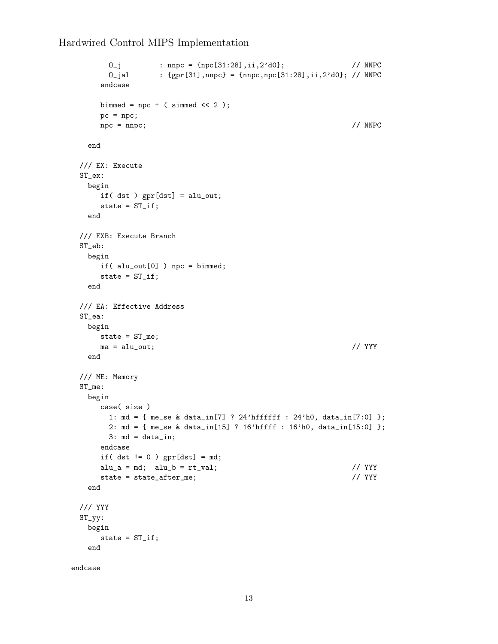```
0_j : nnpc = {npc[31:28],ii,2'd0}; // NNPC
       0_jal : {gpr[31],nnpc} = {nnpc,npc[31:28],ii,2'd0}; // NNPC
     endcase
     bimmed = npc + (simmed \ll 2);
     pc = npc;
     \text{mpc} = \text{mpc}; // NNPC
   end
 /// EX: Execute
 ST_ex:
   begin
     if( dst ) gpr[dst] = alu_out;
     state = ST_if;end
 /// EXB: Execute Branch
 ST_eb:
   begin
     if( alu_out[0] ) npc = bimmed;
     state = ST_if;end
 /// EA: Effective Address
 ST_ea:
   begin
    state = ST_me;
    ma = alu_out; // YYY
   end
 /// ME: Memory
 ST_me:
   begin
     case( size )
       1: md = { me_se & data_in[7] ? 24'hffffff : 24'h0, data_in[7:0] };
       2: md = { me_se & data_in[15] ? 16'hffff : 16'h0, data_in[15:0] };
       3: md = data_in;endcase
     if( dst != 0 ) gpr[dst] = md;alu_a = md; alu_b = rt_value alu_b = rt_value;
     state = state_after_me; // YYY
   end
 /// YYY
 ST_yy:
   begin
     state = ST_if;end
endcase
```